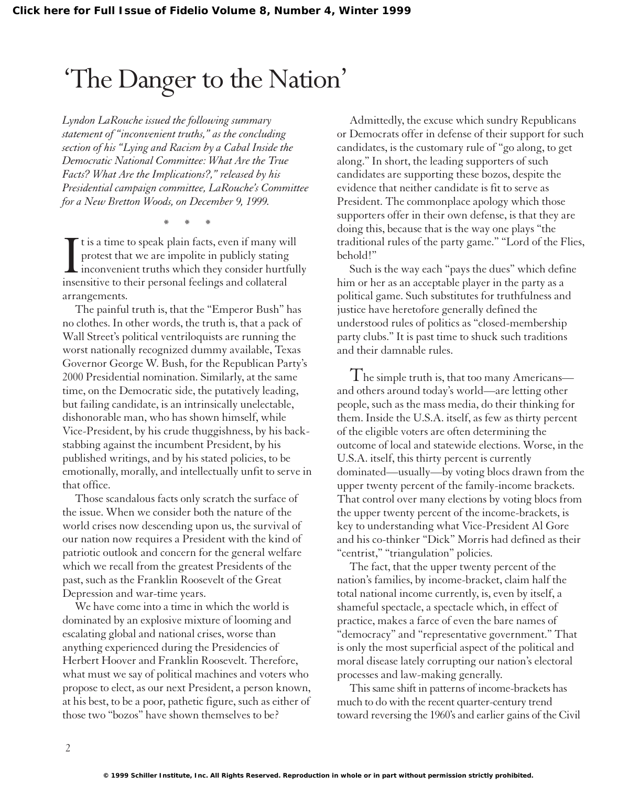## 'The Danger to the Nation'

*Lyndon LaRouche issued the following summary statement of "inconvenient truths," as the concluding section of his "Lying and Racism by a Cabal Inside the Democratic National Committee: What Are the True Facts? What Are the Implications?," released by his Presidential campaign committee, LaRouche's Committee for a New Bretton Woods, on December 9, 1999.*

\*\*\*

I t is a time to speak plain facts, even if many w<br>protest that we are impolite in publicly stating<br>inconvenient truths which they consider hurt<br>insensitive to their personal feelings and collateral t is a time to speak plain facts, even if many will protest that we are impolite in publicly stating  $\blacksquare$  inconvenient truths which they consider hurtfully arrangements.

The painful truth is, that the "Emperor Bush" has no clothes. In other words, the truth is, that a pack of Wall Street's political ventriloquists are running the worst nationally recognized dummy available, Texas Governor George W. Bush, for the Republican Party's 2000 Presidential nomination. Similarly, at the same time, on the Democratic side, the putatively leading, but failing candidate, is an intrinsically unelectable, dishonorable man, who has shown himself, while Vice-President, by his crude thuggishness, by his backstabbing against the incumbent President, by his published writings, and by his stated policies, to be emotionally, morally, and intellectually unfit to serve in that office.

Those scandalous facts only scratch the surface of the issue. When we consider both the nature of the world crises now descending upon us, the survival of our nation now requires a President with the kind of patriotic outlook and concern for the general welfare which we recall from the greatest Presidents of the past, such as the Franklin Roosevelt of the Great Depression and war-time years.

We have come into a time in which the world is dominated by an explosive mixture of looming and escalating global and national crises, worse than anything experienced during the Presidencies of Herbert Hoover and Franklin Roosevelt. Therefore, what must we say of political machines and voters who propose to elect, as our next President, a person known, at his best, to be a poor, pathetic figure, such as either of those two "bozos" have shown themselves to be?

Admittedly, the excuse which sundry Republicans or Democrats offer in defense of their support for such candidates, is the customary rule of "go along, to get along." In short, the leading supporters of such candidates are supporting these bozos, despite the evidence that neither candidate is fit to serve as President. The commonplace apology which those supporters offer in their own defense, is that they are doing this, because that is the way one plays "the traditional rules of the party game." "Lord of the Flies, behold!"

Such is the way each "pays the dues" which define him or her as an acceptable player in the party as a political game. Such substitutes for truthfulness and justice have heretofore generally defined the understood rules of politics as "closed-membership party clubs." It is past time to shuck such traditions and their damnable rules.

The simple truth is, that too many Americans and others around today's world—are letting other people, such as the mass media, do their thinking for them. Inside the U.S.A. itself, as few as thirty percent of the eligible voters are often determining the outcome of local and statewide elections. Worse, in the U.S.A. itself, this thirty percent is currently dominated—usually—by voting blocs drawn from the upper twenty percent of the family-income brackets. That control over many elections by voting blocs from the upper twenty percent of the income-brackets, is key to understanding what Vice-President Al Gore and his co-thinker "Dick" Morris had defined as their "centrist," "triangulation" policies.

The fact, that the upper twenty percent of the nation's families, by income-bracket, claim half the total national income currently, is, even by itself, a shameful spectacle, a spectacle which, in effect of practice, makes a farce of even the bare names of "democracy" and "representative government." That is only the most superficial aspect of the political and moral disease lately corrupting our nation's electoral processes and law-making generally.

This same shift in patterns of income-brackets has much to do with the recent quarter-century trend toward reversing the 1960's and earlier gains of the Civil